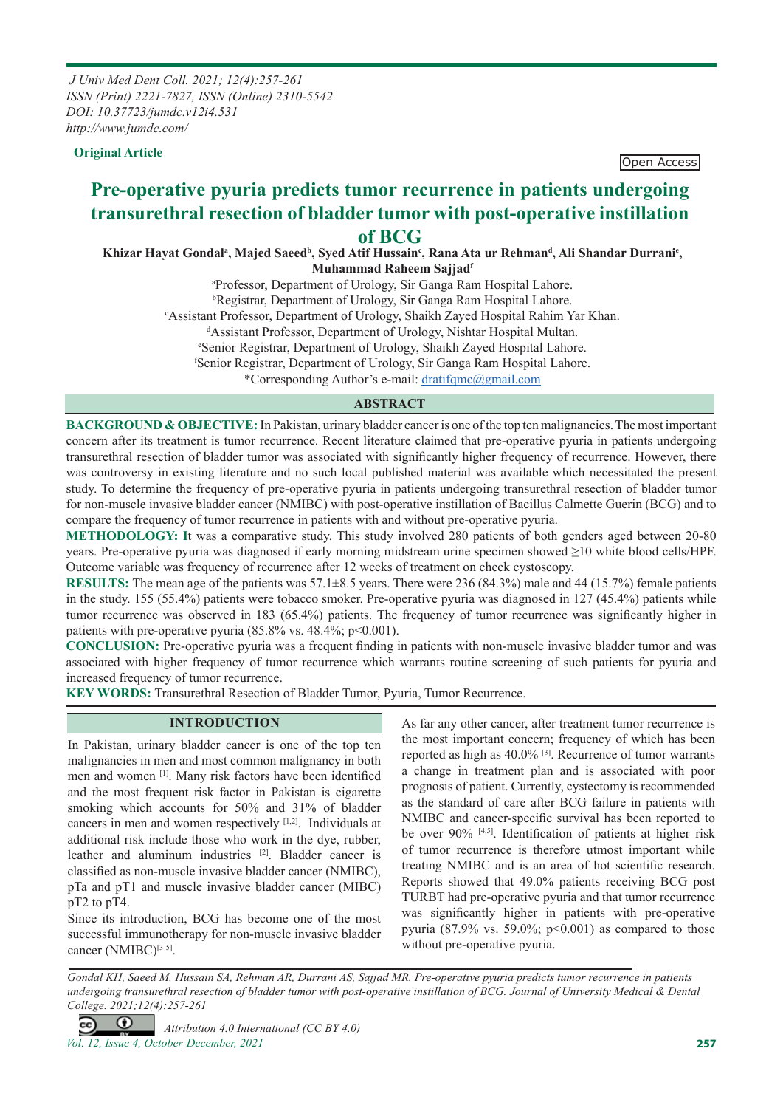*J Univ Med Dent Coll. 2021; 12(4):257-261 ISSN (Print) 2221-7827, ISSN (Online) 2310-5542 DOI: 10.37723/jumdc.v12i4.531 http://www.jumdc.com/*

**Original Article Open Access** 

# **Pre-operative pyuria predicts tumor recurrence in patients undergoing transurethral resection of bladder tumor with post-operative instillation of BCG**

Khizar Hayat Gondalª, Majed Saeedʰ, Syed Atif Hussain¢, Rana Ata ur Rehmanª, Ali Shandar Durrani<sup>e</sup>, **Muhammad Raheem Sajjadf**

> a Professor, Department of Urology, Sir Ganga Ram Hospital Lahore. b Registrar, Department of Urology, Sir Ganga Ram Hospital Lahore. c Assistant Professor, Department of Urology, Shaikh Zayed Hospital Rahim Yar Khan. d Assistant Professor, Department of Urology, Nishtar Hospital Multan. e Senior Registrar, Department of Urology, Shaikh Zayed Hospital Lahore. f Senior Registrar, Department of Urology, Sir Ganga Ram Hospital Lahore.

\*Corresponding Author's e-mail: dratifqmc@gmail.com

## **ABSTRACT**

**BACKGROUND & OBJECTIVE:** In Pakistan, urinary bladder cancer is one of the top ten malignancies. The most important concern after its treatment is tumor recurrence. Recent literature claimed that pre-operative pyuria in patients undergoing transurethral resection of bladder tumor was associated with significantly higher frequency of recurrence. However, there was controversy in existing literature and no such local published material was available which necessitated the present study. To determine the frequency of pre-operative pyuria in patients undergoing transurethral resection of bladder tumor for non-muscle invasive bladder cancer (NMIBC) with post-operative instillation of Bacillus Calmette Guerin (BCG) and to compare the frequency of tumor recurrence in patients with and without pre-operative pyuria.

**METHODOLOGY: I**t was a comparative study. This study involved 280 patients of both genders aged between 20-80 years. Pre-operative pyuria was diagnosed if early morning midstream urine specimen showed ≥10 white blood cells/HPF. Outcome variable was frequency of recurrence after 12 weeks of treatment on check cystoscopy.

**RESULTS:** The mean age of the patients was 57.1±8.5 years. There were 236 (84.3%) male and 44 (15.7%) female patients in the study. 155 (55.4%) patients were tobacco smoker. Pre-operative pyuria was diagnosed in 127 (45.4%) patients while tumor recurrence was observed in 183 (65.4%) patients. The frequency of tumor recurrence was significantly higher in patients with pre-operative pyuria  $(85.8\% \text{ vs. } 48.4\% \text{ : } p \le 0.001)$ .

**CONCLUSION:** Pre-operative pyuria was a frequent finding in patients with non-muscle invasive bladder tumor and was associated with higher frequency of tumor recurrence which warrants routine screening of such patients for pyuria and increased frequency of tumor recurrence.

**KEY WORDS:** Transurethral Resection of Bladder Tumor, Pyuria, Tumor Recurrence.

#### **INTRODUCTION**

In Pakistan, urinary bladder cancer is one of the top ten malignancies in men and most common malignancy in both men and women [1]. Many risk factors have been identified and the most frequent risk factor in Pakistan is cigarette smoking which accounts for 50% and 31% of bladder cancers in men and women respectively [1,2]. Individuals at additional risk include those who work in the dye, rubber, leather and aluminum industries [2]. Bladder cancer is classified as non-muscle invasive bladder cancer (NMIBC), pTa and pT1 and muscle invasive bladder cancer (MIBC) pT2 to pT4.

Since its introduction, BCG has become one of the most successful immunotherapy for non-muscle invasive bladder cancer  $(NMIBC)^{[3-5]}$ .

As far any other cancer, after treatment tumor recurrence is the most important concern; frequency of which has been reported as high as 40.0% [3]. Recurrence of tumor warrants a change in treatment plan and is associated with poor prognosis of patient. Currently, cystectomy is recommended as the standard of care after BCG failure in patients with NMIBC and cancer-specific survival has been reported to be over 90% [4,5]. Identification of patients at higher risk of tumor recurrence is therefore utmost important while treating NMIBC and is an area of hot scientific research. Reports showed that 49.0% patients receiving BCG post TURBT had pre-operative pyuria and that tumor recurrence was significantly higher in patients with pre-operative pyuria (87.9% vs. 59.0%;  $p<0.001$ ) as compared to those without pre-operative pyuria.

*Gondal KH, Saeed M, Hussain SA, Rehman AR, Durrani AS, Sajjad MR. Pre-operative pyuria predicts tumor recurrence in patients undergoing transurethral resection of bladder tumor with post-operative instillation of BCG. Journal of University Medical & Dental College. 2021;12(4):257-261*

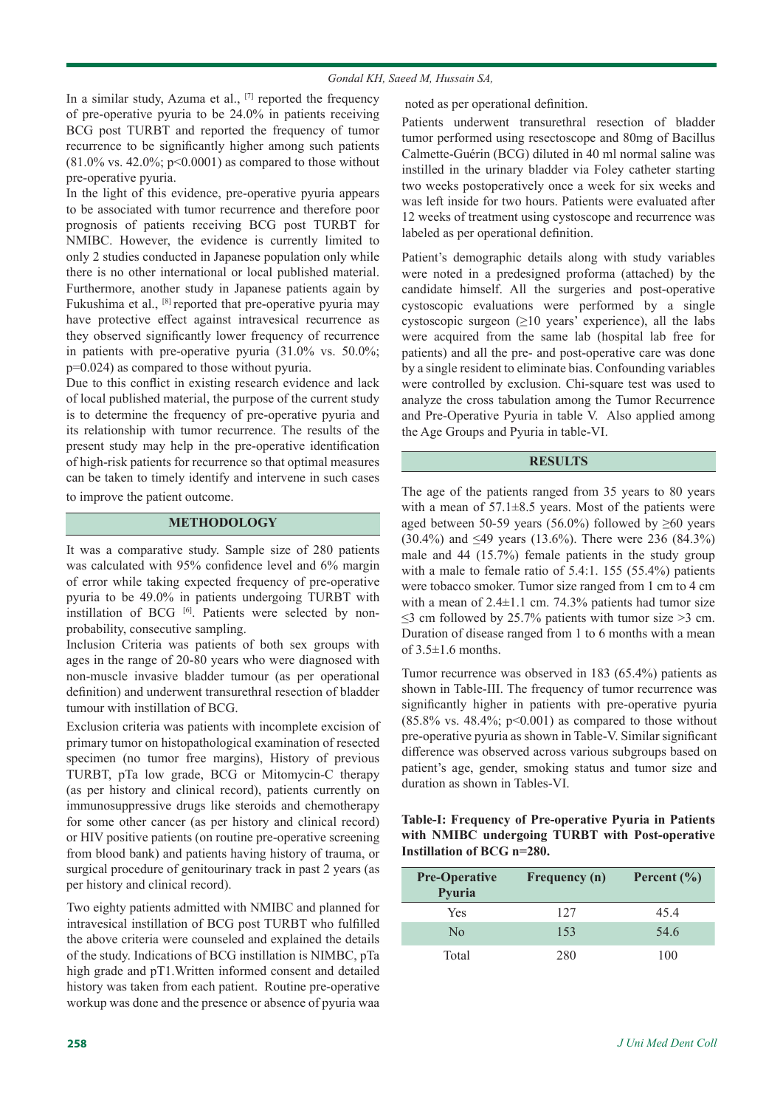#### *Gondal KH, Saeed M, Hussain SA,*

In a similar study, Azuma et al., [7] reported the frequency of pre-operative pyuria to be 24.0% in patients receiving BCG post TURBT and reported the frequency of tumor recurrence to be significantly higher among such patients  $(81.0\% \text{ vs. } 42.0\%; \text{ p} < 0.0001)$  as compared to those without pre-operative pyuria.

In the light of this evidence, pre-operative pyuria appears to be associated with tumor recurrence and therefore poor prognosis of patients receiving BCG post TURBT for NMIBC. However, the evidence is currently limited to only 2 studies conducted in Japanese population only while there is no other international or local published material. Furthermore, another study in Japanese patients again by Fukushima et al., [8] reported that pre-operative pyuria may have protective effect against intravesical recurrence as they observed significantly lower frequency of recurrence in patients with pre-operative pyuria (31.0% vs. 50.0%; p=0.024) as compared to those without pyuria.

Due to this conflict in existing research evidence and lack of local published material, the purpose of the current study is to determine the frequency of pre-operative pyuria and its relationship with tumor recurrence. The results of the present study may help in the pre-operative identification of high-risk patients for recurrence so that optimal measures can be taken to timely identify and intervene in such cases to improve the patient outcome.

## **METHODOLOGY**

It was a comparative study. Sample size of 280 patients was calculated with 95% confidence level and 6% margin of error while taking expected frequency of pre-operative pyuria to be 49.0% in patients undergoing TURBT with instillation of BCG [6]. Patients were selected by nonprobability, consecutive sampling.

Inclusion Criteria was patients of both sex groups with ages in the range of 20-80 years who were diagnosed with non-muscle invasive bladder tumour (as per operational definition) and underwent transurethral resection of bladder tumour with instillation of BCG.

Exclusion criteria was patients with incomplete excision of primary tumor on histopathological examination of resected specimen (no tumor free margins), History of previous TURBT, pTa low grade, BCG or Mitomycin-C therapy (as per history and clinical record), patients currently on immunosuppressive drugs like steroids and chemotherapy for some other cancer (as per history and clinical record) or HIV positive patients (on routine pre-operative screening from blood bank) and patients having history of trauma, or surgical procedure of genitourinary track in past 2 years (as per history and clinical record).

Two eighty patients admitted with NMIBC and planned for intravesical instillation of BCG post TURBT who fulfilled the above criteria were counseled and explained the details of the study. Indications of BCG instillation is NIMBC, pTa high grade and pT1.Written informed consent and detailed history was taken from each patient. Routine pre-operative workup was done and the presence or absence of pyuria waa noted as per operational definition.

Patients underwent transurethral resection of bladder tumor performed using resectoscope and 80mg of Bacillus Calmette-Guérin (BCG) diluted in 40 ml normal saline was instilled in the urinary bladder via Foley catheter starting two weeks postoperatively once a week for six weeks and was left inside for two hours. Patients were evaluated after 12 weeks of treatment using cystoscope and recurrence was labeled as per operational definition.

Patient's demographic details along with study variables were noted in a predesigned proforma (attached) by the candidate himself. All the surgeries and post-operative cystoscopic evaluations were performed by a single cystoscopic surgeon  $(≥10$  years' experience), all the labs were acquired from the same lab (hospital lab free for patients) and all the pre- and post-operative care was done by a single resident to eliminate bias. Confounding variables were controlled by exclusion. Chi-square test was used to analyze the cross tabulation among the Tumor Recurrence and Pre-Operative Pyuria in table V. Also applied among the Age Groups and Pyuria in table-VI.

### **RESULTS**

The age of the patients ranged from 35 years to 80 years with a mean of  $57.1\pm8.5$  years. Most of the patients were aged between 50-59 years (56.0%) followed by  $\geq 60$  years (30.4%) and ≤49 years (13.6%). There were 236 (84.3%) male and 44 (15.7%) female patients in the study group with a male to female ratio of 5.4:1. 155 (55.4%) patients were tobacco smoker. Tumor size ranged from 1 cm to 4 cm with a mean of  $2.4 \pm 1.1$  cm. 74.3% patients had tumor size  $\leq$ 3 cm followed by 25.7% patients with tumor size >3 cm. Duration of disease ranged from 1 to 6 months with a mean of  $3.5 \pm 1.6$  months.

Tumor recurrence was observed in 183 (65.4%) patients as shown in Table-III. The frequency of tumor recurrence was significantly higher in patients with pre-operative pyuria  $(85.8\% \text{ vs. } 48.4\%; \text{ p} < 0.001)$  as compared to those without pre-operative pyuria as shown in Table-V. Similar significant difference was observed across various subgroups based on patient's age, gender, smoking status and tumor size and duration as shown in Tables-VI.

**Table-I: Frequency of Pre-operative Pyuria in Patients with NMIBC undergoing TURBT with Post-operative Instillation of BCG n=280.**

| <b>Pre-Operative</b><br>Pyuria | Frequency (n) | Percent $(\% )$ |
|--------------------------------|---------------|-----------------|
| Yes                            | 127           | 45.4            |
| No                             | 153           | 54.6            |
| Total                          | 280           | 100             |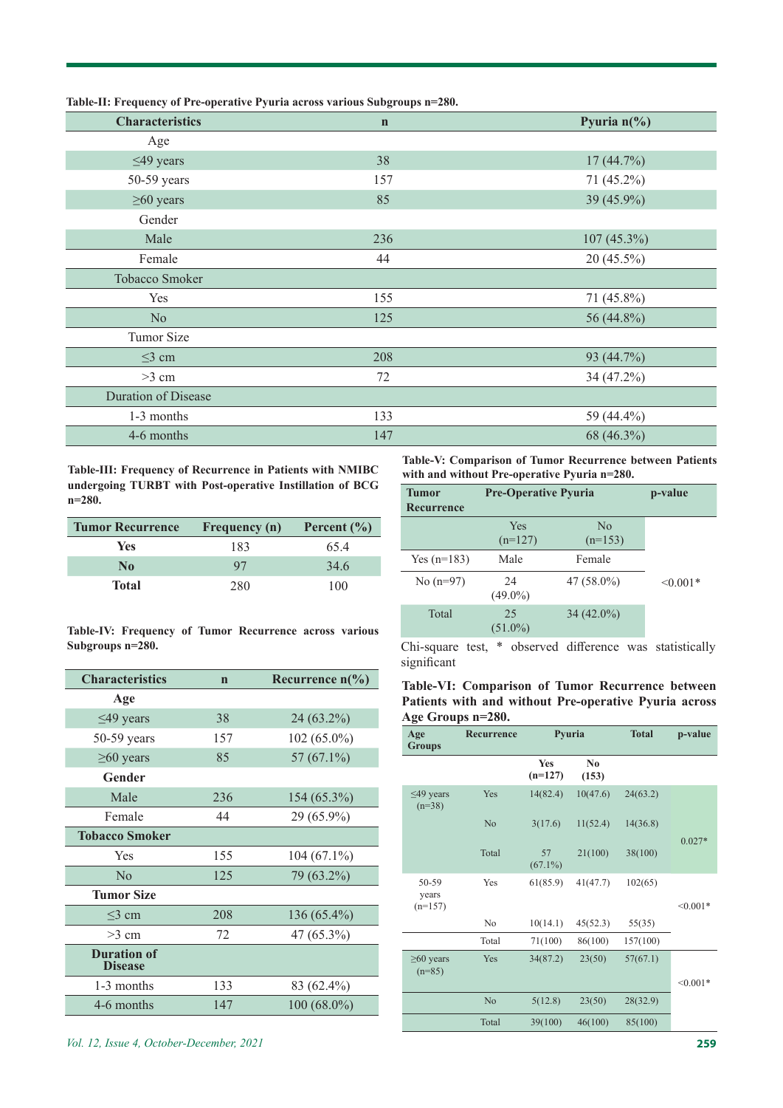| able-11; Prequency of Fre-operative Fyuria across various subgroups $n=200$ . |             |                       |  |  |
|-------------------------------------------------------------------------------|-------------|-----------------------|--|--|
| <b>Characteristics</b>                                                        | $\mathbf n$ | Pyuria $n\frac{6}{6}$ |  |  |
| Age                                                                           |             |                       |  |  |
| $\leq$ 49 years                                                               | 38          | 17(44.7%)             |  |  |
| 50-59 years                                                                   | 157         | 71 (45.2%)            |  |  |
| $\geq 60$ years                                                               | 85          | 39 (45.9%)            |  |  |
| Gender                                                                        |             |                       |  |  |
| Male                                                                          | 236         | $107(45.3\%)$         |  |  |
| Female                                                                        | 44          | $20(45.5\%)$          |  |  |
| Tobacco Smoker                                                                |             |                       |  |  |
| Yes                                                                           | 155         | $71(45.8\%)$          |  |  |
| N <sub>o</sub>                                                                | 125         | 56 (44.8%)            |  |  |
| Tumor Size                                                                    |             |                       |  |  |
| $\leq$ 3 cm                                                                   | 208         | 93 (44.7%)            |  |  |
| $>3$ cm                                                                       | 72          | 34 (47.2%)            |  |  |
| <b>Duration of Disease</b>                                                    |             |                       |  |  |
| 1-3 months                                                                    | 133         | 59 (44.4%)            |  |  |
| 4-6 months                                                                    | 147         | 68 (46.3%)            |  |  |
|                                                                               |             |                       |  |  |

**Table-II: Frequency of Pre-operative Pyuria across various Subgroups n=280.**

**Table-III: Frequency of Recurrence in Patients with NMIBC undergoing TURBT with Post-operative Instillation of BCG n=280.**

Ī

| <b>Tumor Recurrence</b> | <b>Frequency</b> (n) | Percent $(\% )$ |
|-------------------------|----------------------|-----------------|
| <b>Yes</b>              | 183                  | 65.4            |
| N <sub>0</sub>          | 97                   | 34.6            |
| <b>Total</b>            | 280                  | 100             |

**Table-IV: Frequency of Tumor Recurrence across various Subgroups n=280.**

| <b>Characteristics</b>               | $\mathbf n$ | Recurrence $n\llap/$ <sub>0</sub> ) |
|--------------------------------------|-------------|-------------------------------------|
| Age                                  |             |                                     |
| $\leq$ 49 years                      | 38          | 24 (63.2%)                          |
| $50-59$ years                        | 157         | 102 (65.0%)                         |
| $\geq 60$ years                      | 85          | 57 $(67.1\%)$                       |
| Gender                               |             |                                     |
| Male                                 | 236         | 154 (65.3%)                         |
| Female                               | 44          | 29 (65.9%)                          |
| <b>Tobacco Smoker</b>                |             |                                     |
| Yes                                  | 155         | $104(67.1\%)$                       |
| No                                   | 125         | 79 (63.2%)                          |
| <b>Tumor Size</b>                    |             |                                     |
| $<$ 3 cm                             | 208         | 136 (65.4%)                         |
| $>3$ cm                              | 72          | 47 (65.3%)                          |
| <b>Duration of</b><br><b>Disease</b> |             |                                     |
| 1-3 months                           | 133         | 83 (62.4%)                          |
| 4-6 months                           | 147         | $100(68.0\%)$                       |

**Table-V: Comparison of Tumor Recurrence between Patients with and without Pre-operative Pyuria n=280.**

| <b>Tumor</b><br>Recurrence | <b>Pre-Operative Pyuria</b> | p-value                         |               |
|----------------------------|-----------------------------|---------------------------------|---------------|
|                            | Yes<br>$(n=127)$            | $\overline{N}_{0}$<br>$(n=153)$ |               |
| Yes $(n=183)$              | Male                        | Female                          |               |
| No $(n=97)$                | 24<br>$(49.0\%)$            | $47(58.0\%)$                    | $\leq 0.001*$ |
| Total                      | 25<br>$(51.0\%)$            | $34(42.0\%)$                    |               |

Chi-square test, \* observed difference was statistically significant

| Table-VI: Comparison of Tumor Recurrence between      |  |  |  |
|-------------------------------------------------------|--|--|--|
| Patients with and without Pre-operative Pyuria across |  |  |  |
| Age Groups n=280.                                     |  |  |  |

| Age<br><b>Groups</b>        | Recurrence     | Pyuria           |             | <b>Total</b> | p-value    |
|-----------------------------|----------------|------------------|-------------|--------------|------------|
|                             |                | Yes<br>$(n=127)$ | No<br>(153) |              |            |
| $\leq$ 49 years<br>$(n=38)$ | Yes            | 14(82.4)         | 10(47.6)    | 24(63.2)     |            |
|                             | No             | 3(17.6)          | 11(52.4)    | 14(36.8)     | $0.027*$   |
|                             | Total          | 57<br>$(67.1\%)$ | 21(100)     | 38(100)      |            |
| 50-59<br>years              | Yes            | 61(85.9)         | 41(47.7)    | 102(65)      |            |
| $(n=157)$                   |                |                  |             |              | $< 0.001*$ |
|                             | N <sub>o</sub> | 10(14.1)         | 45(52.3)    | 55(35)       |            |
|                             | Total          | 71(100)          | 86(100)     | 157(100)     |            |
| $\geq 60$ years<br>$(n=85)$ | Yes            | 34(87.2)         | 23(50)      | 57(67.1)     |            |
|                             |                |                  |             |              | $< 0.001*$ |
|                             | No             | 5(12.8)          | 23(50)      | 28(32.9)     |            |
|                             | Total          | 39(100)          | 46(100)     | 85(100)      |            |
|                             |                |                  |             |              |            |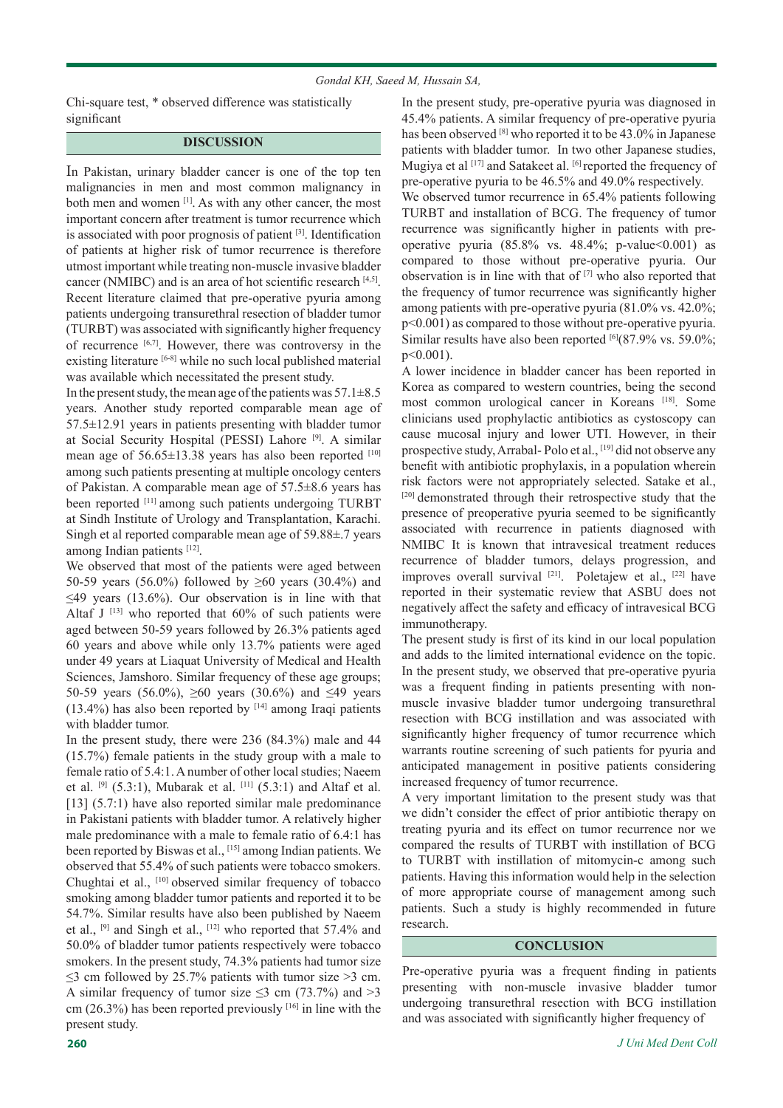#### *Gondal KH, Saeed M, Hussain SA,*

Chi-square test, \* observed difference was statistically significant

#### **DISCUSSION**

In Pakistan, urinary bladder cancer is one of the top ten malignancies in men and most common malignancy in both men and women [1]. As with any other cancer, the most important concern after treatment is tumor recurrence which is associated with poor prognosis of patient [3]. Identification of patients at higher risk of tumor recurrence is therefore utmost important while treating non-muscle invasive bladder cancer (NMIBC) and is an area of hot scientific research [4,5]. Recent literature claimed that pre-operative pyuria among patients undergoing transurethral resection of bladder tumor (TURBT) was associated with significantly higher frequency of recurrence [6,7]. However, there was controversy in the existing literature [6-8] while no such local published material was available which necessitated the present study.

In the present study, the mean age of the patients was  $57.1\pm8.5$ years. Another study reported comparable mean age of 57.5±12.91 years in patients presenting with bladder tumor at Social Security Hospital (PESSI) Lahore [9]. A similar mean age of  $56.65 \pm 13.38$  years has also been reported [10] among such patients presenting at multiple oncology centers of Pakistan. A comparable mean age of 57.5±8.6 years has been reported [11] among such patients undergoing TURBT at Sindh Institute of Urology and Transplantation, Karachi. Singh et al reported comparable mean age of 59.88±.7 years among Indian patients [12].

We observed that most of the patients were aged between 50-59 years (56.0%) followed by  $\geq 60$  years (30.4%) and  $\leq$ 49 years (13.6%). Our observation is in line with that Altaf J<sup>[13]</sup> who reported that  $60\%$  of such patients were aged between 50-59 years followed by 26.3% patients aged 60 years and above while only 13.7% patients were aged under 49 years at Liaquat University of Medical and Health Sciences, Jamshoro. Similar frequency of these age groups; 50-59 years (56.0%),  $\geq 60$  years (30.6%) and  $\leq 49$  years  $(13.4\%)$  has also been reported by  $[14]$  among Iraqi patients with bladder tumor.

In the present study, there were 236 (84.3%) male and 44 (15.7%) female patients in the study group with a male to female ratio of 5.4:1. A number of other local studies; Naeem et al.  $[9]$  (5.3:1), Mubarak et al.  $[11]$  (5.3:1) and Altaf et al. [13] (5.7:1) have also reported similar male predominance in Pakistani patients with bladder tumor. A relatively higher male predominance with a male to female ratio of 6.4:1 has been reported by Biswas et al., [15] among Indian patients. We observed that 55.4% of such patients were tobacco smokers. Chughtai et al., [10] observed similar frequency of tobacco smoking among bladder tumor patients and reported it to be 54.7%. Similar results have also been published by Naeem et al., [9] and Singh et al., [12] who reported that 57.4% and 50.0% of bladder tumor patients respectively were tobacco smokers. In the present study, 74.3% patients had tumor size  $\leq$ 3 cm followed by 25.7% patients with tumor size >3 cm. A similar frequency of tumor size  $\leq$ 3 cm (73.7%) and >3 cm (26.3%) has been reported previously  $[16]$  in line with the present study.

In the present study, pre-operative pyuria was diagnosed in 45.4% patients. A similar frequency of pre-operative pyuria has been observed [8] who reported it to be 43.0% in Japanese patients with bladder tumor. In two other Japanese studies, Mugiya et al [17] and Satakeet al. [6] reported the frequency of pre-operative pyuria to be 46.5% and 49.0% respectively.

We observed tumor recurrence in 65.4% patients following TURBT and installation of BCG. The frequency of tumor recurrence was significantly higher in patients with preoperative pyuria  $(85.8\% \text{ vs. } 48.4\%; \text{ p-value} < 0.001)$  as compared to those without pre-operative pyuria. Our observation is in line with that of  $[7]$  who also reported that the frequency of tumor recurrence was significantly higher among patients with pre-operative pyuria (81.0% vs. 42.0%; p<0.001) as compared to those without pre-operative pyuria. Similar results have also been reported  $[6]$ (87.9% vs. 59.0%; p<0.001).

A lower incidence in bladder cancer has been reported in Korea as compared to western countries, being the second most common urological cancer in Koreans [18]. Some clinicians used prophylactic antibiotics as cystoscopy can cause mucosal injury and lower UTI. However, in their prospective study, Arrabal- Polo et al., [19] did not observe any benefit with antibiotic prophylaxis, in a population wherein risk factors were not appropriately selected. Satake et al., [20] demonstrated through their retrospective study that the presence of preoperative pyuria seemed to be significantly associated with recurrence in patients diagnosed with NMIBC It is known that intravesical treatment reduces recurrence of bladder tumors, delays progression, and improves overall survival [21]. Poletajew et al., [22] have reported in their systematic review that ASBU does not negatively affect the safety and efficacy of intravesical BCG immunotherapy.

The present study is first of its kind in our local population and adds to the limited international evidence on the topic. In the present study, we observed that pre-operative pyuria was a frequent finding in patients presenting with nonmuscle invasive bladder tumor undergoing transurethral resection with BCG instillation and was associated with significantly higher frequency of tumor recurrence which warrants routine screening of such patients for pyuria and anticipated management in positive patients considering increased frequency of tumor recurrence.

A very important limitation to the present study was that we didn't consider the effect of prior antibiotic therapy on treating pyuria and its effect on tumor recurrence nor we compared the results of TURBT with instillation of BCG to TURBT with instillation of mitomycin-c among such patients. Having this information would help in the selection of more appropriate course of management among such patients. Such a study is highly recommended in future research.

## **CONCLUSION**

Pre-operative pyuria was a frequent finding in patients presenting with non-muscle invasive bladder tumor undergoing transurethral resection with BCG instillation and was associated with significantly higher frequency of